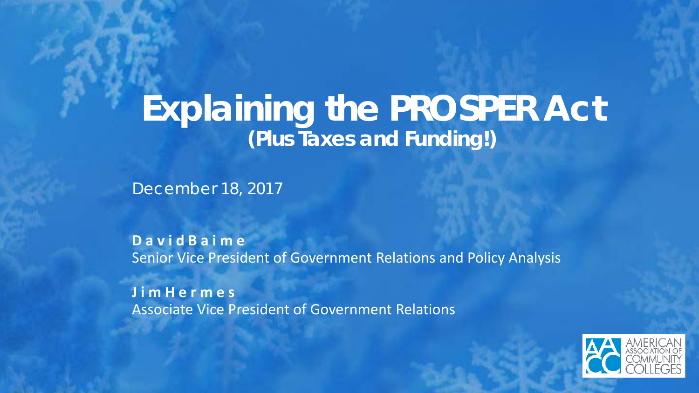# **Explaining the PROSPER Act (Plus Taxes and Funding!)**

December 18, 2017

**D a v i d B a i m e**  Senior Vice President of Government Relations and Policy Analysis

**J i m H e r m e s**  Associate Vice President of Government Relations

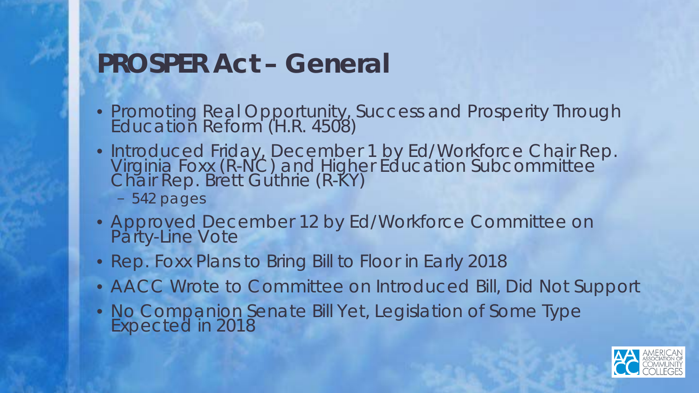#### **PROSPER Act – General**

- Promoting Real Opportunity, Success and Prosperity Through Education Reform (H.R. 4508)
- Introduced Friday, December 1 by Ed/Workforce Chair Rep. Virginia Foxx (R-NC) and Higher Education Subcommittee<br>Chair Rep. Brett Guthrie (R-KY)
	- 542 pages
- Approved December 12 by Ed/Workforce Committee on Party-Line Vote
- Rep. Foxx Plans to Bring Bill to Floor in Early 2018
- AACC Wrote to Committee on Introduced Bill, Did Not Support
- No Companion Senate Bill Yet, Legislation of Some Type Expected in 2018

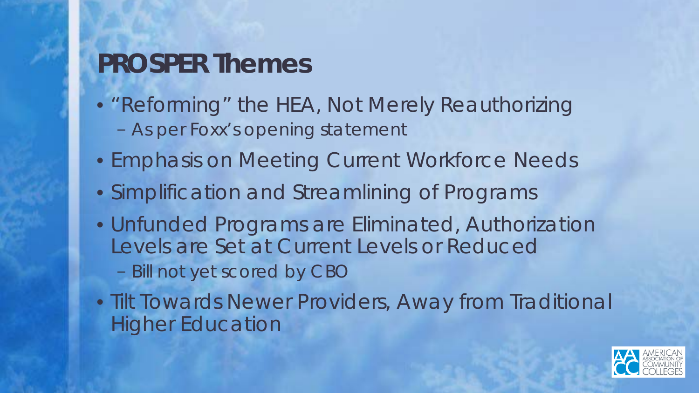#### **PROSPER Themes**

- "Reforming" the HEA, Not Merely Reauthorizing
	- As per Foxx's opening statement
- Emphasis on Meeting Current Workforce Needs
- Simplification and Streamlining of Programs
- Unfunded Programs are Eliminated, Authorization Levels are Set at Current Levels or Reduced
	- Bill not yet scored by CBO
- Tilt Towards Newer Providers, Away from Traditional Higher Education

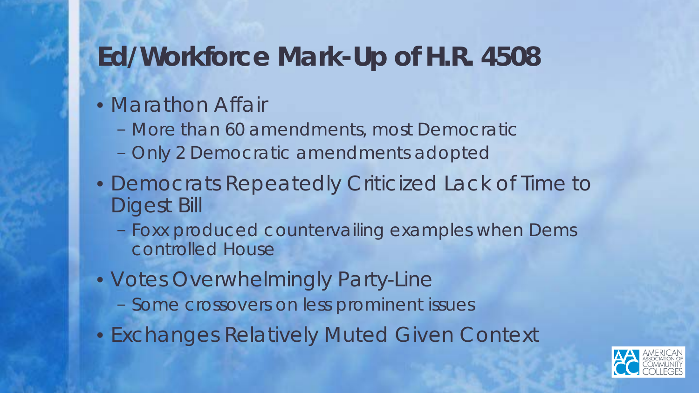#### **Ed/Workforce Mark-Up of H.R. 4508**

#### • Marathon Affair

- More than 60 amendments, most Democratic
- Only 2 Democratic amendments adopted
- Democrats Repeatedly Criticized Lack of Time to Digest Bill
	- Foxx produced countervailing examples when Dems controlled House
- Votes Overwhelmingly Party-Line
	- Some crossovers on less prominent issues
- Exchanges Relatively Muted Given Context

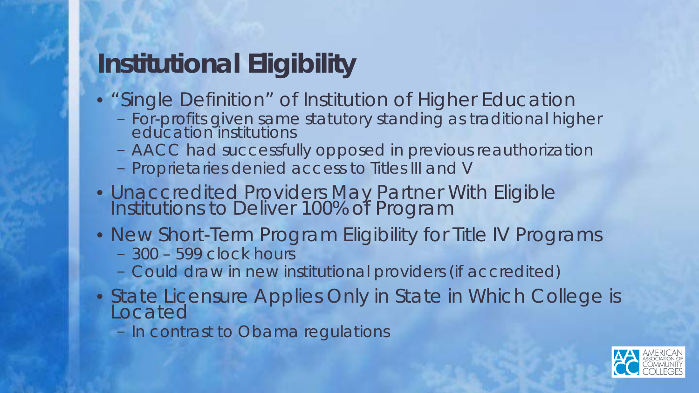#### **Institutional Eligibility**

- "Single Definition" of Institution of Higher Education
	- For-profits given same statutory standing as traditional higher education institutions
	- AACC had successfully opposed in previous reauthorization
	- Proprietaries denied access to Titles III and V
- Unaccredited Providers May Partner With Eligible Institutions to Deliver 100% of Program
- New Short-Term Program Eligibility for Title IV Programs
	- 300 599 clock hours
	- Could draw in new institutional providers (if accredited)
- State Licensure Applies Only in State in Which College is Located
	- In contrast to Obama regulations

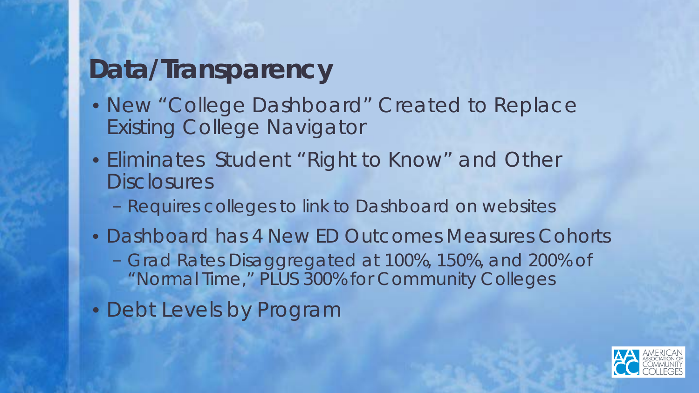#### **Data/Transparency**

- New "College Dashboard" Created to Replace Existing College Navigator
- Eliminates Student "Right to Know" and Other **Disclosures** 
	- Requires colleges to link to Dashboard on websites
- Dashboard has 4 New ED Outcomes Measures Cohorts
	- Grad Rates Disaggregated at 100%, 150%, and 200% of "Normal Time," PLUS 300% for Community Colleges
- Debt Levels by Program

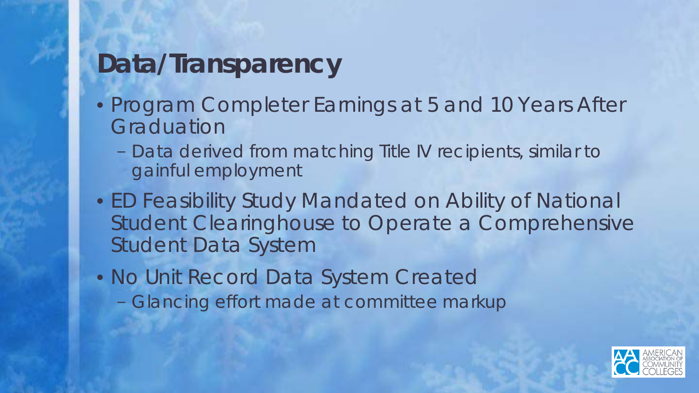# **Data/Transparency**

- Program Completer Earnings at 5 and 10 Years After **Graduation** 
	- Data derived from matching Title IV recipients, similar to gainful employment
- ED Feasibility Study Mandated on Ability of National Student Clearinghouse to Operate a Comprehensive Student Data System
- No Unit Record Data System Created
	- Glancing effort made at committee markup

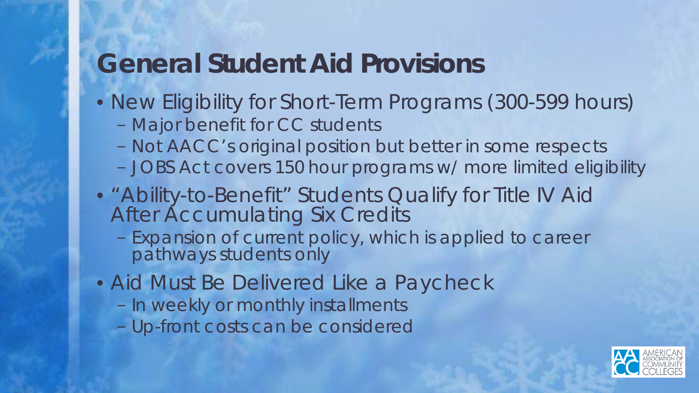#### **General Student Aid Provisions**

- New Eligibility for Short-Term Programs (300-599 hours)
	- Major benefit for CC students
	- Not AACC's original position but better in some respects
	- JOBS Act covers 150 hour programs w/ more limited eligibility
- "Ability-to-Benefit" Students Qualify for Title IV Aid After Accumulating Six Credits
	- Expansion of current policy, which is applied to career pathways students only
- Aid Must Be Delivered Like a Paycheck
	- In weekly or monthly installments
	- Up-front costs can be considered

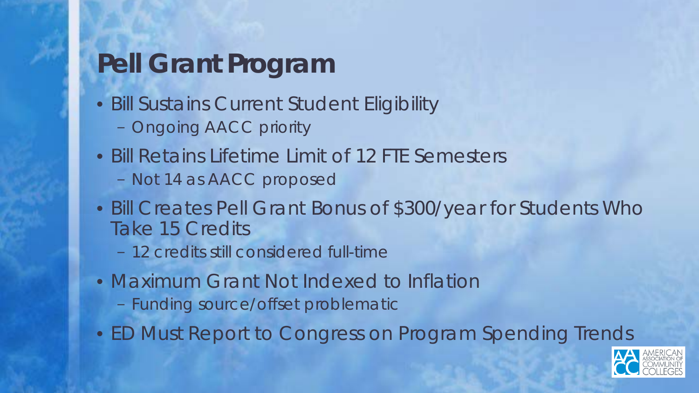### **Pell Grant Program**

- Bill Sustains Current Student Eligibility
	- Ongoing AACC priority
- Bill Retains Lifetime Limit of 12 FTE Semesters
	- Not 14 as AACC proposed
- Bill Creates Pell Grant Bonus of \$300/year for Students Who Take 15 Credits
	- 12 credits still considered full-time
- Maximum Grant Not Indexed to Inflation
	- Funding source/offset problematic
- ED Must Report to Congress on Program Spending Trends

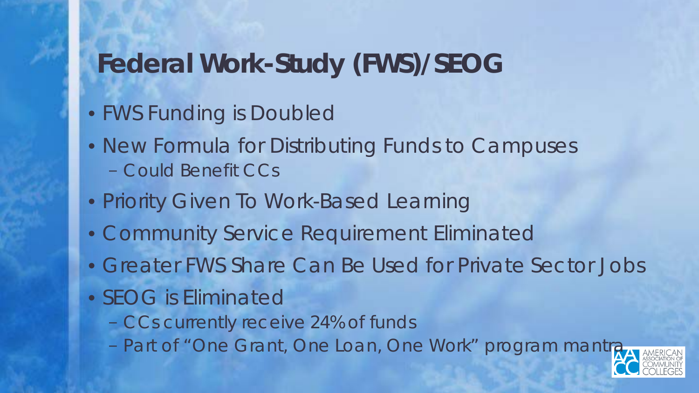#### **Federal Work-Study (FWS)/SEOG**

- FWS Funding is Doubled
- New Formula for Distributing Funds to Campuses – Could Benefit CCs
- Priority Given To Work-Based Learning
- Community Service Requirement Eliminated
- Greater FWS Share Can Be Used for Private Sector Jobs
- SEOG is Eliminated
	- CCs currently receive 24% of funds
	- Part of "One Grant, One Loan, One Work" program mantra

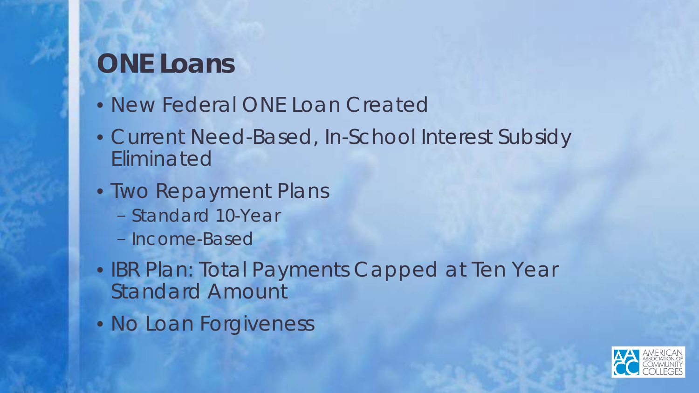#### **ONE Loans**

- New Federal ONE Loan Created
- Current Need-Based, In-School Interest Subsidy Eliminated
- Two Repayment Plans
	- Standard 10-Year
	- Income-Based
- IBR Plan: Total Payments Capped at Ten Year Standard Amount
- No Loan Forgiveness

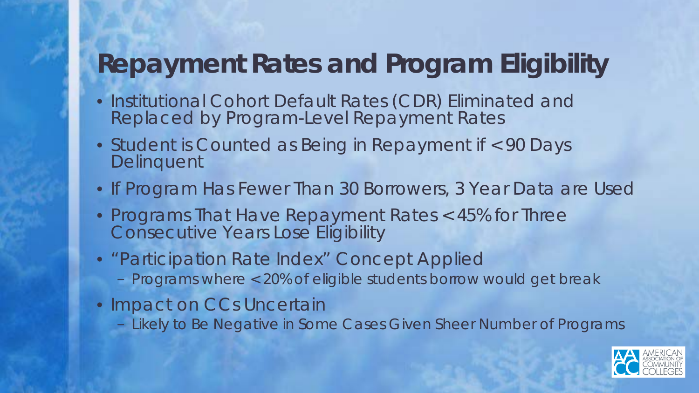#### **Repayment Rates and Program Eligibility**

- Institutional Cohort Default Rates (CDR) Eliminated and Replaced by Program-Level Repayment Rates
- Student is Counted as Being in Repayment if < 90 Days **Delinquent**
- If Program Has Fewer Than 30 Borrowers, 3 Year Data are Used
- Programs That Have Repayment Rates < 45% for Three Consecutive Years Lose Eligibility
- "Participation Rate Index" Concept Applied
	- Programs where < 20% of eligible students borrow would get break
- Impact on CCs Uncertain
	- Likely to Be Negative in Some Cases Given Sheer Number of Programs

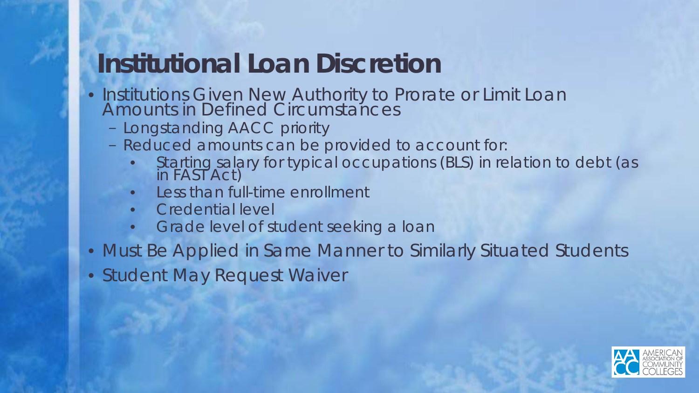#### **Institutional Loan Discretion**

- Institutions Given New Authority to Prorate or Limit Loan Amounts in Defined Circumstances
	- Longstanding AACC priority
	- Reduced amounts can be provided to account for:
		- Starting salary for typical occupations (BLS) in relation to debt (as in FAST Act)
		- Less than full-time enrollment
		- Credential level
		- Grade level of student seeking a loan
- Must Be Applied in Same Manner to Similarly Situated Students
- Student May Request Waiver

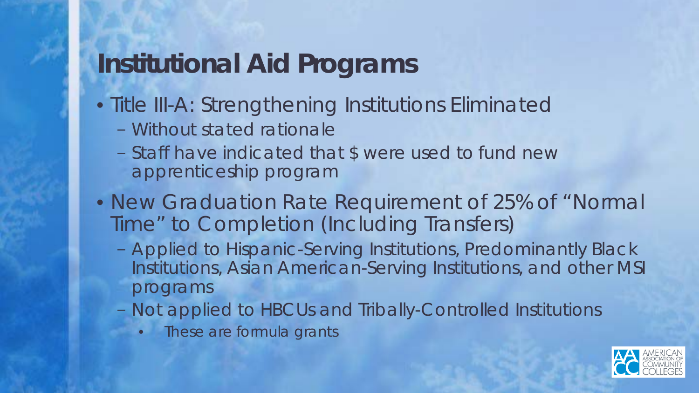#### **Institutional Aid Programs**

- Title III-A: Strengthening Institutions Eliminated
	- Without stated rationale
	- Staff have indicated that \$ were used to fund new apprenticeship program
- New Graduation Rate Requirement of 25% of "Normal Time" to Completion (Including Transfers)
	- Applied to Hispanic-Serving Institutions, Predominantly Black Institutions, Asian American-Serving Institutions, and other MSI programs
	- Not applied to HBCUs and Tribally-Controlled Institutions
		- **Indese are formula grants**

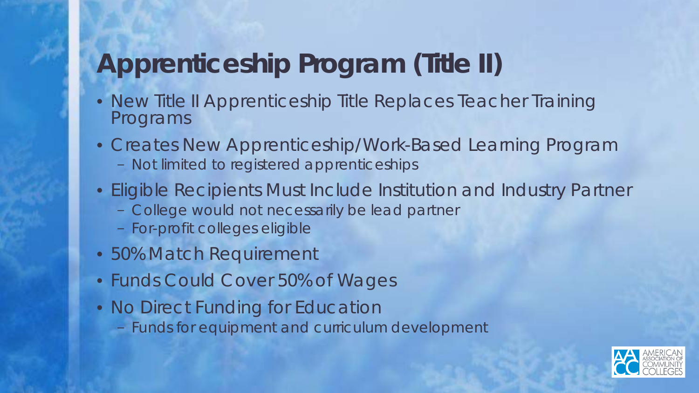### **Apprenticeship Program (Title II)**

- New Title II Apprenticeship Title Replaces Teacher Training Programs
- Creates New Apprenticeship/Work-Based Learning Program
	- Not limited to registered apprenticeships
- Eligible Recipients Must Include Institution and Industry Partner
	- College would not necessarily be lead partner
	- For-profit colleges eligible
- 50% Match Requirement
- Funds Could Cover 50% of Wages
- No Direct Funding for Education
	- Funds for equipment and curriculum development

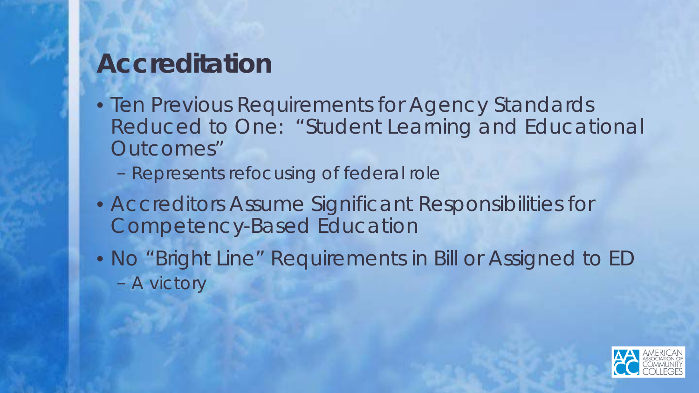#### **Accreditation**

- Ten Previous Requirements for Agency Standards Reduced to One: "Student Learning and Educational Outcomes"
	- Represents refocusing of federal role
- Accreditors Assume Significant Responsibilities for Competency-Based Education
- No "Bright Line" Requirements in Bill or Assigned to ED – A victory

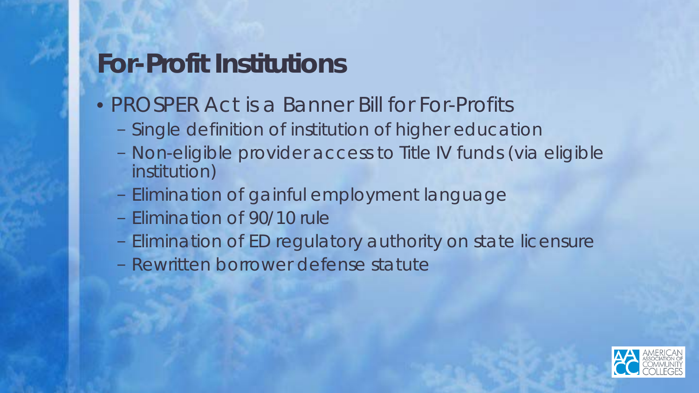#### **For-Profit Institutions**

- PROSPER Act is a Banner Bill for For-Profits
	- Single definition of institution of higher education
	- Non-eligible provider access to Title IV funds (via eligible institution)
	- Elimination of gainful employment language
	- Elimination of 90/10 rule
	- Elimination of ED regulatory authority on state licensure
	- Rewritten borrower defense statute

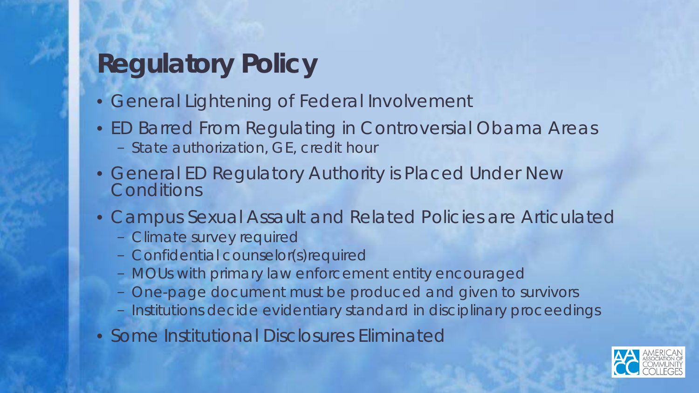## **Regulatory Policy**

- General Lightening of Federal Involvement
- ED Barred From Regulating in Controversial Obama Areas – State authorization, GE, credit hour
- General ED Regulatory Authority is Placed Under New **Conditions**
- Campus Sexual Assault and Related Policies are Articulated
	- Climate survey required
	- Confidential counselor(s)required
	- MOUs with primary law enforcement entity encouraged
	- One-page document must be produced and given to survivors
	- Institutions decide evidentiary standard in disciplinary proceedings
- Some Institutional Disclosures Eliminated

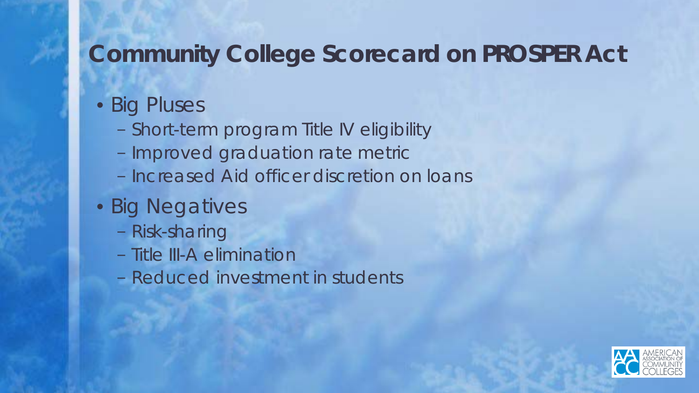#### **Community College Scorecard on PROSPER Act**

#### • Big Pluses

- Short-term program Title IV eligibility
- Improved graduation rate metric
- Increased Aid officer discretion on loans
- Big Negatives
	- Risk-sharing
	- Title III-A elimination
	- Reduced investment in students

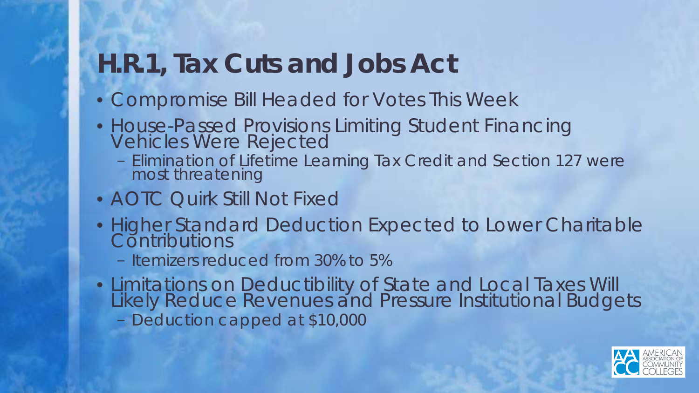#### **H.R.1, Tax Cuts and Jobs Act**

- Compromise Bill Headed for Votes This Week
- House-Passed Provisions Limiting Student Financing Vehicles Were Rejected
	- Elimination of Lifetime Learning Tax Credit and Section 127 were most threatening
- AOTC Quirk Still Not Fixed
- Higher Standard Deduction Expected to Lower Charitable **Contributions** 
	- Itemizers reduced from 30% to 5%
- Limitations on Deductibility of State and Local Taxes Will Likely Reduce Revenues and Pressure Institutional Budgets – Deduction capped at \$10,000

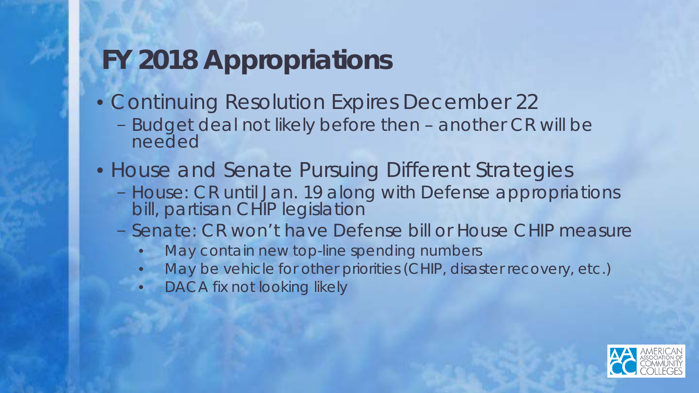## **FY 2018 Appropriations**

- Continuing Resolution Expires December 22
	- Budget deal not likely before then another CR will be needed
- House and Senate Pursuing Different Strategies
	- House: CR until Jan. 19 along with Defense appropriations bill, partisan CHIP legislation
	- Senate: CR won't have Defense bill or House CHIP measure
		- May contain new top-line spending numbers
		- May be vehicle for other priorities (CHIP, disaster recovery, etc.)
		- DACA fix not looking likely

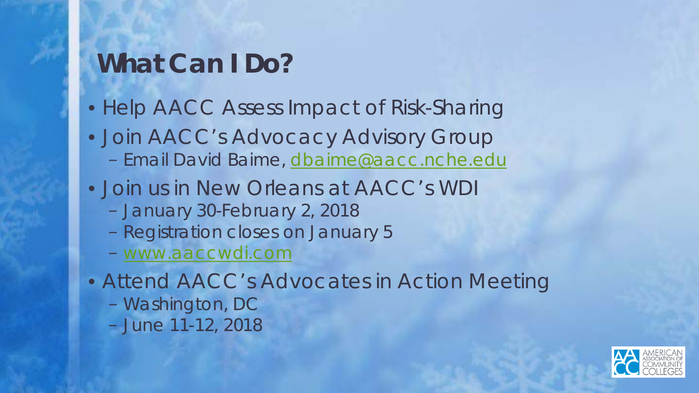#### **What Can I Do?**

- Help AACC Assess Impact of Risk-Sharing
- Join AACC's Advocacy Advisory Group – Email David Baime, [dbaime@aacc.nche.edu](mailto:dbaime@aacc.nche.edu)
- Join us in New Orleans at AACC's WDI
	- January 30-February 2, 2018
	- Registration closes on January 5
	- [www.aaccwdi.com](http://www.aaccwdi.com/)
- Attend AACC's Advocates in Action Meeting
	- Washington, DC
	- June 11-12, 2018